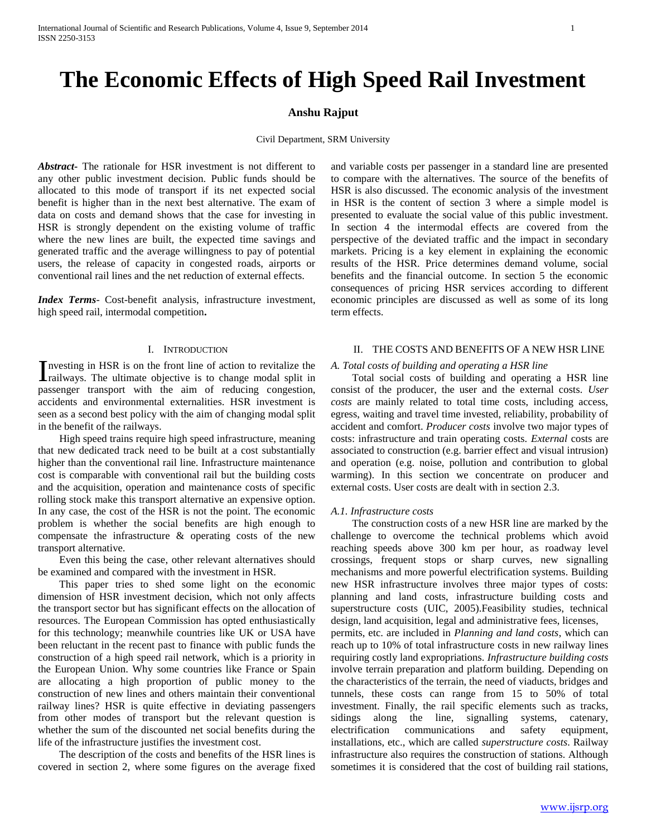# **The Economic Effects of High Speed Rail Investment**

## **Anshu Rajput**

Civil Department, SRM University

*Abstract***-** The rationale for HSR investment is not different to any other public investment decision. Public funds should be allocated to this mode of transport if its net expected social benefit is higher than in the next best alternative. The exam of data on costs and demand shows that the case for investing in HSR is strongly dependent on the existing volume of traffic where the new lines are built, the expected time savings and generated traffic and the average willingness to pay of potential users, the release of capacity in congested roads, airports or conventional rail lines and the net reduction of external effects.

*Index Terms*- Cost-benefit analysis, infrastructure investment, high speed rail, intermodal competition**.**

## I. INTRODUCTION

nvesting in HSR is on the front line of action to revitalize the Investing in HSR is on the front line of action to revitalize the railways. The ultimate objective is to change modal split in passenger transport with the aim of reducing congestion, accidents and environmental externalities. HSR investment is seen as a second best policy with the aim of changing modal split in the benefit of the railways.

 High speed trains require high speed infrastructure, meaning that new dedicated track need to be built at a cost substantially higher than the conventional rail line. Infrastructure maintenance cost is comparable with conventional rail but the building costs and the acquisition, operation and maintenance costs of specific rolling stock make this transport alternative an expensive option. In any case, the cost of the HSR is not the point. The economic problem is whether the social benefits are high enough to compensate the infrastructure & operating costs of the new transport alternative.

 Even this being the case, other relevant alternatives should be examined and compared with the investment in HSR.

 This paper tries to shed some light on the economic dimension of HSR investment decision, which not only affects the transport sector but has significant effects on the allocation of resources. The European Commission has opted enthusiastically for this technology; meanwhile countries like UK or USA have been reluctant in the recent past to finance with public funds the construction of a high speed rail network, which is a priority in the European Union. Why some countries like France or Spain are allocating a high proportion of public money to the construction of new lines and others maintain their conventional railway lines? HSR is quite effective in deviating passengers from other modes of transport but the relevant question is whether the sum of the discounted net social benefits during the life of the infrastructure justifies the investment cost.

 The description of the costs and benefits of the HSR lines is covered in section 2, where some figures on the average fixed and variable costs per passenger in a standard line are presented to compare with the alternatives. The source of the benefits of HSR is also discussed. The economic analysis of the investment in HSR is the content of section 3 where a simple model is presented to evaluate the social value of this public investment. In section 4 the intermodal effects are covered from the perspective of the deviated traffic and the impact in secondary markets. Pricing is a key element in explaining the economic results of the HSR. Price determines demand volume, social benefits and the financial outcome. In section 5 the economic consequences of pricing HSR services according to different economic principles are discussed as well as some of its long term effects.

## II. THE COSTS AND BENEFITS OF A NEW HSR LINE

#### *A. Total costs of building and operating a HSR line*

 Total social costs of building and operating a HSR line consist of the producer, the user and the external costs. *User costs* are mainly related to total time costs, including access, egress, waiting and travel time invested, reliability, probability of accident and comfort. *Producer costs* involve two major types of costs: infrastructure and train operating costs. *External* costs are associated to construction (e.g. barrier effect and visual intrusion) and operation (e.g. noise, pollution and contribution to global warming). In this section we concentrate on producer and external costs. User costs are dealt with in section 2.3.

#### *A.1. Infrastructure costs*

 The construction costs of a new HSR line are marked by the challenge to overcome the technical problems which avoid reaching speeds above 300 km per hour, as roadway level crossings, frequent stops or sharp curves, new signalling mechanisms and more powerful electrification systems. Building new HSR infrastructure involves three major types of costs: planning and land costs, infrastructure building costs and superstructure costs (UIC, 2005).Feasibility studies, technical design, land acquisition, legal and administrative fees, licenses, permits, etc. are included in *Planning and land costs*, which can reach up to 10% of total infrastructure costs in new railway lines requiring costly land expropriations. *Infrastructure building costs*  involve terrain preparation and platform building. Depending on the characteristics of the terrain, the need of viaducts, bridges and tunnels, these costs can range from 15 to 50% of total investment. Finally, the rail specific elements such as tracks,

sidings along the line, signalling systems, catenary, electrification communications and safety equipment, installations, etc., which are called *superstructure costs*. Railway infrastructure also requires the construction of stations. Although sometimes it is considered that the cost of building rail stations,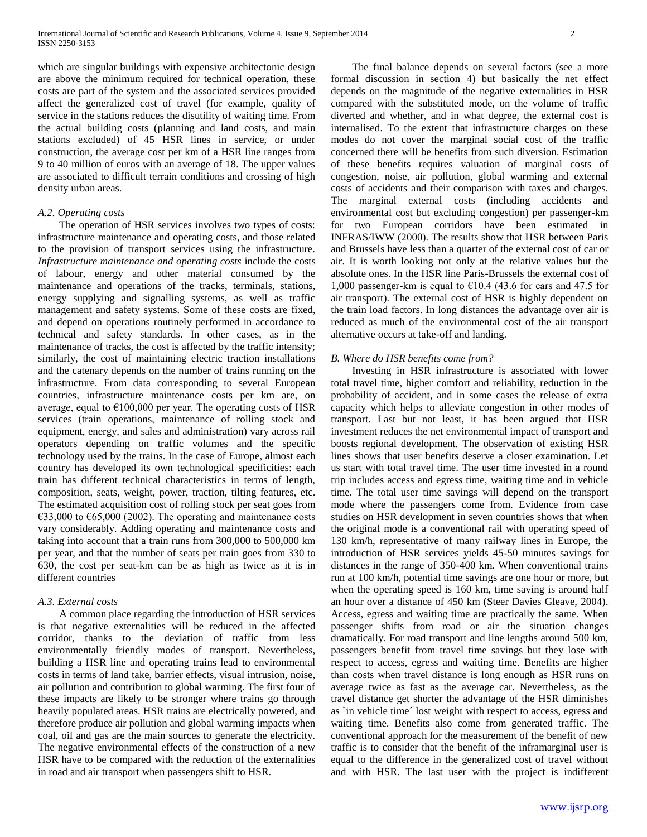which are singular buildings with expensive architectonic design are above the minimum required for technical operation, these costs are part of the system and the associated services provided affect the generalized cost of travel (for example, quality of service in the stations reduces the disutility of waiting time. From the actual building costs (planning and land costs, and main stations excluded) of 45 HSR lines in service, or under construction, the average cost per km of a HSR line ranges from 9 to 40 million of euros with an average of 18. The upper values are associated to difficult terrain conditions and crossing of high density urban areas.

#### *A.2. Operating costs*

 The operation of HSR services involves two types of costs: infrastructure maintenance and operating costs, and those related to the provision of transport services using the infrastructure. *Infrastructure maintenance and operating costs* include the costs of labour, energy and other material consumed by the maintenance and operations of the tracks, terminals, stations, energy supplying and signalling systems, as well as traffic management and safety systems. Some of these costs are fixed, and depend on operations routinely performed in accordance to technical and safety standards. In other cases, as in the maintenance of tracks, the cost is affected by the traffic intensity; similarly, the cost of maintaining electric traction installations and the catenary depends on the number of trains running on the infrastructure. From data corresponding to several European countries, infrastructure maintenance costs per km are, on average, equal to  $\epsilon$ 100,000 per year. The operating costs of HSR services (train operations, maintenance of rolling stock and equipment, energy, and sales and administration) vary across rail operators depending on traffic volumes and the specific technology used by the trains. In the case of Europe, almost each country has developed its own technological specificities: each train has different technical characteristics in terms of length, composition, seats, weight, power, traction, tilting features, etc. The estimated acquisition cost of rolling stock per seat goes from €33,000 to €65,000 (2002). The operating and maintenance costs vary considerably. Adding operating and maintenance costs and taking into account that a train runs from 300,000 to 500,000 km per year, and that the number of seats per train goes from 330 to 630, the cost per seat-km can be as high as twice as it is in different countries

#### *A.3. External costs*

 A common place regarding the introduction of HSR services is that negative externalities will be reduced in the affected corridor, thanks to the deviation of traffic from less environmentally friendly modes of transport. Nevertheless, building a HSR line and operating trains lead to environmental costs in terms of land take, barrier effects, visual intrusion, noise, air pollution and contribution to global warming. The first four of these impacts are likely to be stronger where trains go through heavily populated areas. HSR trains are electrically powered, and therefore produce air pollution and global warming impacts when coal, oil and gas are the main sources to generate the electricity. The negative environmental effects of the construction of a new HSR have to be compared with the reduction of the externalities in road and air transport when passengers shift to HSR.

 The final balance depends on several factors (see a more formal discussion in section 4) but basically the net effect depends on the magnitude of the negative externalities in HSR compared with the substituted mode, on the volume of traffic diverted and whether, and in what degree, the external cost is internalised. To the extent that infrastructure charges on these modes do not cover the marginal social cost of the traffic concerned there will be benefits from such diversion. Estimation of these benefits requires valuation of marginal costs of congestion, noise, air pollution, global warming and external costs of accidents and their comparison with taxes and charges. The marginal external costs (including accidents and environmental cost but excluding congestion) per passenger-km for two European corridors have been estimated in INFRAS/IWW (2000). The results show that HSR between Paris and Brussels have less than a quarter of the external cost of car or air. It is worth looking not only at the relative values but the absolute ones. In the HSR line Paris-Brussels the external cost of 1,000 passenger-km is equal to  $\epsilon$ 10.4 (43.6 for cars and 47.5 for air transport). The external cost of HSR is highly dependent on the train load factors. In long distances the advantage over air is reduced as much of the environmental cost of the air transport alternative occurs at take-off and landing.

#### *B. Where do HSR benefits come from?*

 Investing in HSR infrastructure is associated with lower total travel time, higher comfort and reliability, reduction in the probability of accident, and in some cases the release of extra capacity which helps to alleviate congestion in other modes of transport. Last but not least, it has been argued that HSR investment reduces the net environmental impact of transport and boosts regional development. The observation of existing HSR lines shows that user benefits deserve a closer examination. Let us start with total travel time. The user time invested in a round trip includes access and egress time, waiting time and in vehicle time. The total user time savings will depend on the transport mode where the passengers come from. Evidence from case studies on HSR development in seven countries shows that when the original mode is a conventional rail with operating speed of 130 km/h, representative of many railway lines in Europe, the introduction of HSR services yields 45-50 minutes savings for distances in the range of 350-400 km. When conventional trains run at 100 km/h, potential time savings are one hour or more, but when the operating speed is 160 km, time saving is around half an hour over a distance of 450 km (Steer Davies Gleave, 2004). Access, egress and waiting time are practically the same. When passenger shifts from road or air the situation changes dramatically. For road transport and line lengths around 500 km, passengers benefit from travel time savings but they lose with respect to access, egress and waiting time. Benefits are higher than costs when travel distance is long enough as HSR runs on average twice as fast as the average car. Nevertheless, as the travel distance get shorter the advantage of the HSR diminishes as `in vehicle time´ lost weight with respect to access, egress and waiting time. Benefits also come from generated traffic. The conventional approach for the measurement of the benefit of new traffic is to consider that the benefit of the inframarginal user is equal to the difference in the generalized cost of travel without and with HSR. The last user with the project is indifferent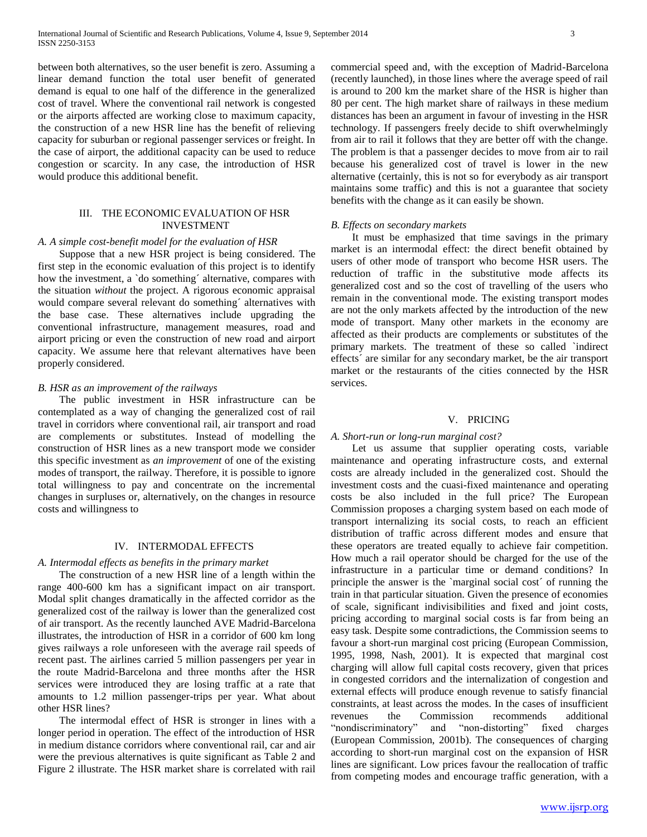between both alternatives, so the user benefit is zero. Assuming a linear demand function the total user benefit of generated demand is equal to one half of the difference in the generalized cost of travel. Where the conventional rail network is congested or the airports affected are working close to maximum capacity, the construction of a new HSR line has the benefit of relieving capacity for suburban or regional passenger services or freight. In the case of airport, the additional capacity can be used to reduce congestion or scarcity. In any case, the introduction of HSR would produce this additional benefit.

## III. THE ECONOMIC EVALUATION OF HSR INVESTMENT

#### *A. A simple cost-benefit model for the evaluation of HSR*

 Suppose that a new HSR project is being considered. The first step in the economic evaluation of this project is to identify how the investment, a `do something´ alternative, compares with the situation *without* the project. A rigorous economic appraisal would compare several relevant do something´ alternatives with the base case. These alternatives include upgrading the conventional infrastructure, management measures, road and airport pricing or even the construction of new road and airport capacity. We assume here that relevant alternatives have been properly considered.

## *B. HSR as an improvement of the railways*

 The public investment in HSR infrastructure can be contemplated as a way of changing the generalized cost of rail travel in corridors where conventional rail, air transport and road are complements or substitutes. Instead of modelling the construction of HSR lines as a new transport mode we consider this specific investment as *an improvement* of one of the existing modes of transport, the railway. Therefore, it is possible to ignore total willingness to pay and concentrate on the incremental changes in surpluses or, alternatively, on the changes in resource costs and willingness to

#### IV. INTERMODAL EFFECTS

#### *A. Intermodal effects as benefits in the primary market*

 The construction of a new HSR line of a length within the range 400-600 km has a significant impact on air transport. Modal split changes dramatically in the affected corridor as the generalized cost of the railway is lower than the generalized cost of air transport. As the recently launched AVE Madrid-Barcelona illustrates, the introduction of HSR in a corridor of 600 km long gives railways a role unforeseen with the average rail speeds of recent past. The airlines carried 5 million passengers per year in the route Madrid-Barcelona and three months after the HSR services were introduced they are losing traffic at a rate that amounts to 1.2 million passenger-trips per year. What about other HSR lines?

 The intermodal effect of HSR is stronger in lines with a longer period in operation. The effect of the introduction of HSR in medium distance corridors where conventional rail, car and air were the previous alternatives is quite significant as Table 2 and Figure 2 illustrate. The HSR market share is correlated with rail

commercial speed and, with the exception of Madrid-Barcelona (recently launched), in those lines where the average speed of rail is around to 200 km the market share of the HSR is higher than 80 per cent. The high market share of railways in these medium distances has been an argument in favour of investing in the HSR technology. If passengers freely decide to shift overwhelmingly from air to rail it follows that they are better off with the change. The problem is that a passenger decides to move from air to rail because his generalized cost of travel is lower in the new alternative (certainly, this is not so for everybody as air transport maintains some traffic) and this is not a guarantee that society benefits with the change as it can easily be shown.

#### *B. Effects on secondary markets*

 It must be emphasized that time savings in the primary market is an intermodal effect: the direct benefit obtained by users of other mode of transport who become HSR users. The reduction of traffic in the substitutive mode affects its generalized cost and so the cost of travelling of the users who remain in the conventional mode. The existing transport modes are not the only markets affected by the introduction of the new mode of transport. Many other markets in the economy are affected as their products are complements or substitutes of the primary markets. The treatment of these so called `indirect effects´ are similar for any secondary market, be the air transport market or the restaurants of the cities connected by the HSR services.

## V. PRICING

#### *A. Short-run or long-run marginal cost?*

 Let us assume that supplier operating costs, variable maintenance and operating infrastructure costs, and external costs are already included in the generalized cost. Should the investment costs and the cuasi-fixed maintenance and operating costs be also included in the full price? The European Commission proposes a charging system based on each mode of transport internalizing its social costs, to reach an efficient distribution of traffic across different modes and ensure that these operators are treated equally to achieve fair competition. How much a rail operator should be charged for the use of the infrastructure in a particular time or demand conditions? In principle the answer is the `marginal social cost´ of running the train in that particular situation. Given the presence of economies of scale, significant indivisibilities and fixed and joint costs, pricing according to marginal social costs is far from being an easy task. Despite some contradictions, the Commission seems to favour a short-run marginal cost pricing (European Commission, 1995, 1998, Nash, 2001). It is expected that marginal cost charging will allow full capital costs recovery, given that prices in congested corridors and the internalization of congestion and external effects will produce enough revenue to satisfy financial constraints, at least across the modes. In the cases of insufficient revenues the Commission recommends additional "nondiscriminatory" and "non-distorting" fixed charges (European Commission, 2001b). The consequences of charging according to short-run marginal cost on the expansion of HSR lines are significant. Low prices favour the reallocation of traffic from competing modes and encourage traffic generation, with a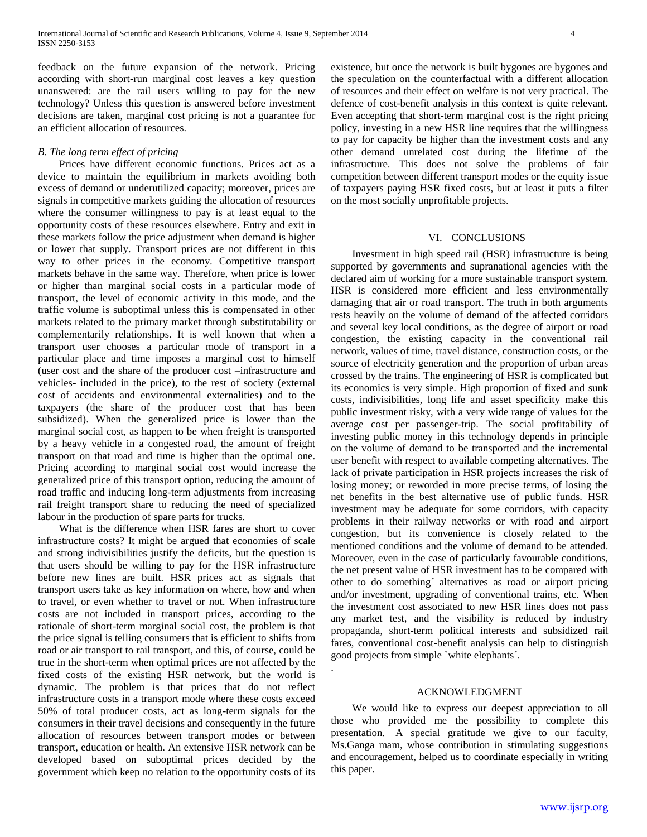feedback on the future expansion of the network. Pricing according with short-run marginal cost leaves a key question unanswered: are the rail users willing to pay for the new technology? Unless this question is answered before investment decisions are taken, marginal cost pricing is not a guarantee for an efficient allocation of resources.

## *B. The long term effect of pricing*

 Prices have different economic functions. Prices act as a device to maintain the equilibrium in markets avoiding both excess of demand or underutilized capacity; moreover, prices are signals in competitive markets guiding the allocation of resources where the consumer willingness to pay is at least equal to the opportunity costs of these resources elsewhere. Entry and exit in these markets follow the price adjustment when demand is higher or lower that supply. Transport prices are not different in this way to other prices in the economy. Competitive transport markets behave in the same way. Therefore, when price is lower or higher than marginal social costs in a particular mode of transport, the level of economic activity in this mode, and the traffic volume is suboptimal unless this is compensated in other markets related to the primary market through substitutability or complementarily relationships. It is well known that when a transport user chooses a particular mode of transport in a particular place and time imposes a marginal cost to himself (user cost and the share of the producer cost –infrastructure and vehicles- included in the price), to the rest of society (external cost of accidents and environmental externalities) and to the taxpayers (the share of the producer cost that has been subsidized). When the generalized price is lower than the marginal social cost, as happen to be when freight is transported by a heavy vehicle in a congested road, the amount of freight transport on that road and time is higher than the optimal one. Pricing according to marginal social cost would increase the generalized price of this transport option, reducing the amount of road traffic and inducing long-term adjustments from increasing rail freight transport share to reducing the need of specialized labour in the production of spare parts for trucks.

 What is the difference when HSR fares are short to cover infrastructure costs? It might be argued that economies of scale and strong indivisibilities justify the deficits, but the question is that users should be willing to pay for the HSR infrastructure before new lines are built. HSR prices act as signals that transport users take as key information on where, how and when to travel, or even whether to travel or not. When infrastructure costs are not included in transport prices, according to the rationale of short-term marginal social cost, the problem is that the price signal is telling consumers that is efficient to shifts from road or air transport to rail transport, and this, of course, could be true in the short-term when optimal prices are not affected by the fixed costs of the existing HSR network, but the world is dynamic. The problem is that prices that do not reflect infrastructure costs in a transport mode where these costs exceed 50% of total producer costs, act as long-term signals for the consumers in their travel decisions and consequently in the future allocation of resources between transport modes or between transport, education or health. An extensive HSR network can be developed based on suboptimal prices decided by the government which keep no relation to the opportunity costs of its

existence, but once the network is built bygones are bygones and the speculation on the counterfactual with a different allocation of resources and their effect on welfare is not very practical. The defence of cost-benefit analysis in this context is quite relevant. Even accepting that short-term marginal cost is the right pricing policy, investing in a new HSR line requires that the willingness to pay for capacity be higher than the investment costs and any other demand unrelated cost during the lifetime of the infrastructure. This does not solve the problems of fair competition between different transport modes or the equity issue of taxpayers paying HSR fixed costs, but at least it puts a filter on the most socially unprofitable projects.

## VI. CONCLUSIONS

 Investment in high speed rail (HSR) infrastructure is being supported by governments and supranational agencies with the declared aim of working for a more sustainable transport system. HSR is considered more efficient and less environmentally damaging that air or road transport. The truth in both arguments rests heavily on the volume of demand of the affected corridors and several key local conditions, as the degree of airport or road congestion, the existing capacity in the conventional rail network, values of time, travel distance, construction costs, or the source of electricity generation and the proportion of urban areas crossed by the trains. The engineering of HSR is complicated but its economics is very simple. High proportion of fixed and sunk costs, indivisibilities, long life and asset specificity make this public investment risky, with a very wide range of values for the average cost per passenger-trip. The social profitability of investing public money in this technology depends in principle on the volume of demand to be transported and the incremental user benefit with respect to available competing alternatives. The lack of private participation in HSR projects increases the risk of losing money; or reworded in more precise terms, of losing the net benefits in the best alternative use of public funds. HSR investment may be adequate for some corridors, with capacity problems in their railway networks or with road and airport congestion, but its convenience is closely related to the mentioned conditions and the volume of demand to be attended. Moreover, even in the case of particularly favourable conditions, the net present value of HSR investment has to be compared with other to do something´ alternatives as road or airport pricing and/or investment, upgrading of conventional trains, etc. When the investment cost associated to new HSR lines does not pass any market test, and the visibility is reduced by industry propaganda, short-term political interests and subsidized rail fares, conventional cost-benefit analysis can help to distinguish good projects from simple `white elephants´.

#### ACKNOWLEDGMENT

.

 We would like to express our deepest appreciation to all those who provided me the possibility to complete this presentation. A special gratitude we give to our faculty, Ms.Ganga mam, whose contribution in stimulating suggestions and encouragement, helped us to coordinate especially in writing this paper.